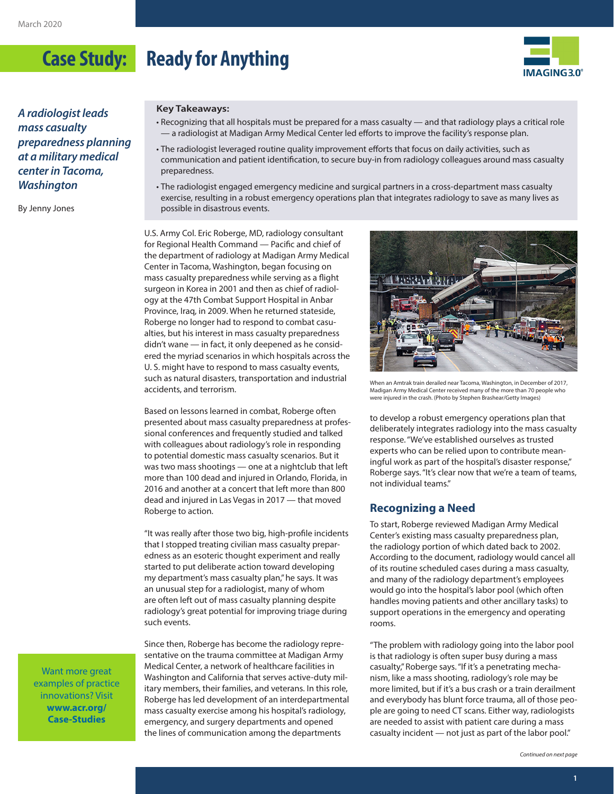

*A radiologist leads mass casualty preparedness planning at a military medical center in Tacoma, Washington*

By Jenny Jones

#### **Key Takeaways:**

- Recognizing that all hospitals must be prepared for a mass casualty and that radiology plays a critical role — a radiologist at Madigan Army Medical Center led efforts to improve the facility's response plan.
- The radiologist leveraged routine quality improvement efforts that focus on daily activities, such as communication and patient identification, to secure buy-in from radiology colleagues around mass casualty preparedness.
- The radiologist engaged emergency medicine and surgical partners in a cross-department mass casualty exercise, resulting in a robust emergency operations plan that integrates radiology to save as many lives as possible in disastrous events.

U.S. Army Col. Eric Roberge, MD, radiology consultant for Regional Health Command — Pacific and chief of the department of radiology at Madigan Army Medical Center in Tacoma, Washington, began focusing on mass casualty preparedness while serving as a flight surgeon in Korea in 2001 and then as chief of radiology at the 47th Combat Support Hospital in Anbar Province, Iraq, in 2009. When he returned stateside, Roberge no longer had to respond to combat casualties, but his interest in mass casualty preparedness didn't wane — in fact, it only deepened as he considered the myriad scenarios in which hospitals across the U. S. might have to respond to mass casualty events, such as natural disasters, transportation and industrial accidents, and terrorism.

Based on lessons learned in combat, Roberge often presented about mass casualty preparedness at professional conferences and frequently studied and talked with colleagues about radiology's role in responding to potential domestic mass casualty scenarios. But it was two mass shootings — one at a nightclub that left more than 100 dead and injured in Orlando, Florida, in 2016 and another at a concert that left more than 800 dead and injured in Las Vegas in 2017 — that moved Roberge to action.

"It was really after those two big, high-profile incidents that I stopped treating civilian mass casualty preparedness as an esoteric thought experiment and really started to put deliberate action toward developing my department's mass casualty plan," he says. It was an unusual step for a radiologist, many of whom are often left out of mass casualty planning despite radiology's great potential for improving triage during such events.

Since then, Roberge has become the radiology representative on the trauma committee at Madigan Army Medical Center, a network of healthcare facilities in Washington and California that serves active-duty military members, their families, and veterans. In this role, Roberge has led development of an interdepartmental mass casualty exercise among his hospital's radiology, emergency, and surgery departments and opened the lines of communication among the departments



When an Amtrak train derailed near Tacoma, Washington, in December of 2017, Madigan Army Medical Center received many of the more than 70 people who were injured in the crash. (Photo by Stephen Brashear/Getty Images)

to develop a robust emergency operations plan that deliberately integrates radiology into the mass casualty response. "We've established ourselves as trusted experts who can be relied upon to contribute meaningful work as part of the hospital's disaster response," Roberge says. "It's clear now that we're a team of teams, not individual teams."

### **Recognizing a Need**

To start, Roberge reviewed Madigan Army Medical Center's existing mass casualty preparedness plan, the radiology portion of which dated back to 2002. According to the document, radiology would cancel all of its routine scheduled cases during a mass casualty, and many of the radiology department's employees would go into the hospital's labor pool (which often handles moving patients and other ancillary tasks) to support operations in the emergency and operating rooms.

"The problem with radiology going into the labor pool is that radiology is often super busy during a mass casualty," Roberge says. "If it's a penetrating mechanism, like a mass shooting, radiology's role may be more limited, but if it's a bus crash or a train derailment and everybody has blunt force trauma, all of those people are going to need CT scans. Either way, radiologists are needed to assist with patient care during a mass casualty incident — not just as part of the labor pool."

*Continued on next page*

Want more great examples of practice innovations? Visit **[www.acr.org/](http://www.acr.org/Case-Studies) [Case-Studies](http://www.acr.org/Case-Studies)**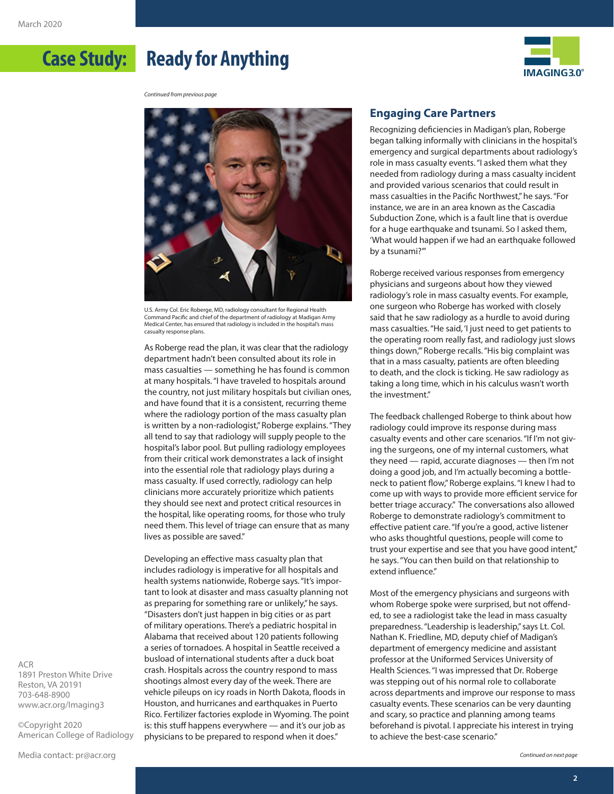

*Continued from previous page*



U.S. Army Col. Eric Roberge, MD, radiology consultant for Regional Health Command Pacific and chief of the department of radiology at Madigan Army Medical Center, has ensured that radiology is included in the hospital's mass casualty response plans.

As Roberge read the plan, it was clear that the radiology department hadn't been consulted about its role in mass casualties — something he has found is common at many hospitals. "I have traveled to hospitals around the country, not just military hospitals but civilian ones, and have found that it is a consistent, recurring theme where the radiology portion of the mass casualty plan is written by a non-radiologist," Roberge explains. "They all tend to say that radiology will supply people to the hospital's labor pool. But pulling radiology employees from their critical work demonstrates a lack of insight into the essential role that radiology plays during a mass casualty. If used correctly, radiology can help clinicians more accurately prioritize which patients they should see next and protect critical resources in the hospital, like operating rooms, for those who truly need them. This level of triage can ensure that as many lives as possible are saved."

Developing an effective mass casualty plan that includes radiology is imperative for all hospitals and health systems nationwide, Roberge says. "It's important to look at disaster and mass casualty planning not as preparing for something rare or unlikely," he says. "Disasters don't just happen in big cities or as part of military operations. There's a pediatric hospital in Alabama that received about 120 patients following a series of tornadoes. A hospital in Seattle received a busload of international students after a duck boat crash. Hospitals across the country respond to mass shootings almost every day of the week. There are vehicle pileups on icy roads in North Dakota, floods in Houston, and hurricanes and earthquakes in Puerto Rico. Fertilizer factories explode in Wyoming. The point is: this stuff happens everywhere — and it's our job as physicians to be prepared to respond when it does."

# **Engaging Care Partners**

Recognizing deficiencies in Madigan's plan, Roberge began talking informally with clinicians in the hospital's emergency and surgical departments about radiology's role in mass casualty events. "I asked them what they needed from radiology during a mass casualty incident and provided various scenarios that could result in mass casualties in the Pacific Northwest," he says. "For instance, we are in an area known as the Cascadia Subduction Zone, which is a fault line that is overdue for a huge earthquake and tsunami. So I asked them, 'What would happen if we had an earthquake followed by a tsunami?'"

Roberge received various responses from emergency physicians and surgeons about how they viewed radiology's role in mass casualty events. For example, one surgeon who Roberge has worked with closely said that he saw radiology as a hurdle to avoid during mass casualties. "He said, 'I just need to get patients to the operating room really fast, and radiology just slows things down,'" Roberge recalls. "His big complaint was that in a mass casualty, patients are often bleeding to death, and the clock is ticking. He saw radiology as taking a long time, which in his calculus wasn't worth the investment."

The feedback challenged Roberge to think about how radiology could improve its response during mass casualty events and other care scenarios. "If I'm not giving the surgeons, one of my internal customers, what they need — rapid, accurate diagnoses — then I'm not doing a good job, and I'm actually becoming a bottleneck to patient flow," Roberge explains. "I knew I had to come up with ways to provide more efficient service for better triage accuracy." The conversations also allowed Roberge to demonstrate radiology's commitment to effective patient care. "If you're a good, active listener who asks thoughtful questions, people will come to trust your expertise and see that you have good intent," he says. "You can then build on that relationship to extend influence."

Most of the emergency physicians and surgeons with whom Roberge spoke were surprised, but not offended, to see a radiologist take the lead in mass casualty preparedness. "Leadership is leadership," says Lt. Col. Nathan K. Friedline, MD, deputy chief of Madigan's department of emergency medicine and assistant professor at the Uniformed Services University of Health Sciences. "I was impressed that Dr. Roberge was stepping out of his normal role to collaborate across departments and improve our response to mass casualty events. These scenarios can be very daunting and scary, so practice and planning among teams beforehand is pivotal. I appreciate his interest in trying to achieve the best-case scenario."

ACR 1891 Preston White Drive Reston, VA 20191 703-648-8900 [www.acr.org/Imaging3](http://www.acr.org/Imaging3)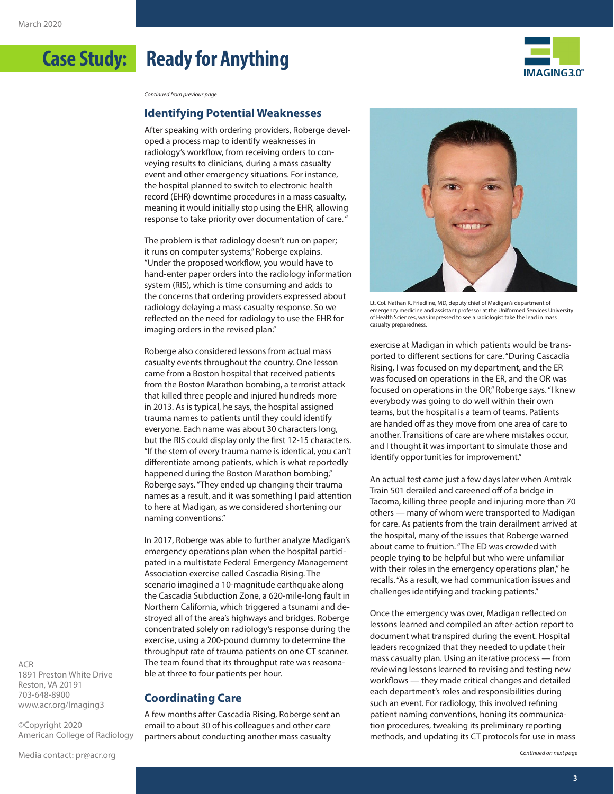



*Continued from previous page*

### **Identifying Potential Weaknesses**

After speaking with ordering providers, Roberge developed a process map to identify weaknesses in radiology's workflow, from receiving orders to conveying results to clinicians, during a mass casualty event and other emergency situations. For instance, the hospital planned to switch to electronic health record (EHR) downtime procedures in a mass casualty, meaning it would initially stop using the EHR, allowing response to take priority over documentation of care. "

The problem is that radiology doesn't run on paper; it runs on computer systems," Roberge explains. "Under the proposed workflow, you would have to hand-enter paper orders into the radiology information system (RIS), which is time consuming and adds to the concerns that ordering providers expressed about radiology delaying a mass casualty response. So we reflected on the need for radiology to use the EHR for imaging orders in the revised plan."

Roberge also considered lessons from actual mass casualty events throughout the country. One lesson came from a Boston hospital that received patients from the Boston Marathon bombing, a terrorist attack that killed three people and injured hundreds more in 2013. As is typical, he says, the hospital assigned trauma names to patients until they could identify everyone. Each name was about 30 characters long, but the RIS could display only the first 12-15 characters. "If the stem of every trauma name is identical, you can't differentiate among patients, which is what reportedly happened during the Boston Marathon bombing," Roberge says. "They ended up changing their trauma names as a result, and it was something I paid attention to here at Madigan, as we considered shortening our naming conventions."

In 2017, Roberge was able to further analyze Madigan's emergency operations plan when the hospital participated in a multistate Federal Emergency Management Association exercise called Cascadia Rising. The scenario imagined a 10-magnitude earthquake along the Cascadia Subduction Zone, a 620-mile-long fault in Northern California, which triggered a tsunami and destroyed all of the area's highways and bridges. Roberge concentrated solely on radiology's response during the exercise, using a 200-pound dummy to determine the throughput rate of trauma patients on one CT scanner. The team found that its throughput rate was reasonable at three to four patients per hour.

#### **Coordinating Care**

A few months after Cascadia Rising, Roberge sent an email to about 30 of his colleagues and other care partners about conducting another mass casualty



Lt. Col. Nathan K. Friedline, MD, deputy chief of Madigan's department of emergency medicine and assistant professor at the Uniformed Services University of Health Sciences, was impressed to see a radiologist take the lead in mass casualty preparedness.

exercise at Madigan in which patients would be transported to different sections for care. "During Cascadia Rising, I was focused on my department, and the ER was focused on operations in the ER, and the OR was focused on operations in the OR," Roberge says. "I knew everybody was going to do well within their own teams, but the hospital is a team of teams. Patients are handed off as they move from one area of care to another. Transitions of care are where mistakes occur, and I thought it was important to simulate those and identify opportunities for improvement."

An actual test came just a few days later when Amtrak Train 501 derailed and careened off of a bridge in Tacoma, killing three people and injuring more than 70 others — many of whom were transported to Madigan for care. As patients from the train derailment arrived at the hospital, many of the issues that Roberge warned about came to fruition. "The ED was crowded with people trying to be helpful but who were unfamiliar with their roles in the emergency operations plan," he recalls. "As a result, we had communication issues and challenges identifying and tracking patients."

Once the emergency was over, Madigan reflected on lessons learned and compiled an after-action report to document what transpired during the event. Hospital leaders recognized that they needed to update their mass casualty plan. Using an iterative process — from reviewing lessons learned to revising and testing new workflows — they made critical changes and detailed each department's roles and responsibilities during such an event. For radiology, this involved refining patient naming conventions, honing its communication procedures, tweaking its preliminary reporting methods, and updating its CT protocols for use in mass

ACR 1891 Preston White Drive Reston, VA 20191 703-648-8900 [www.acr.org/Imaging3](http://www.acr.org/Imaging3)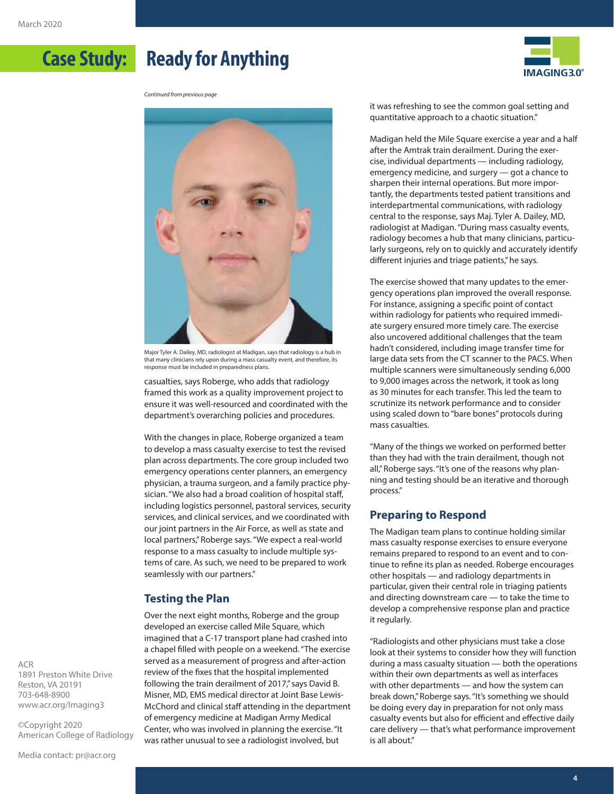



Major Tyler A. Dailey, MD, radiologist at Madigan, says that radiology is a hub in that many clinicians rely upon during a mass casualty event, and therefore, its response must be included in preparedness plans.

casualties, says Roberge, who adds that radiology framed this work as a quality improvement project to ensure it was well-resourced and coordinated with the department's overarching policies and procedures.

With the changes in place, Roberge organized a team to develop a mass casualty exercise to test the revised plan across departments. The core group included two emergency operations center planners, an emergency physician, a trauma surgeon, and a family practice physician. "We also had a broad coalition of hospital staff, including logistics personnel, pastoral services, security services, and clinical services, and we coordinated with our joint partners in the Air Force, as well as state and local partners," Roberge says. "We expect a real-world response to a mass casualty to include multiple systems of care. As such, we need to be prepared to work seamlessly with our partners."

## **Testing the Plan**

Over the next eight months, Roberge and the group developed an exercise called Mile Square, which imagined that a C-17 transport plane had crashed into a chapel filled with people on a weekend. "The exercise served as a measurement of progress and after-action review of the fixes that the hospital implemented following the train derailment of 2017," says David B. Misner, MD, EMS medical director at Joint Base Lewis-McChord and clinical staff attending in the department of emergency medicine at Madigan Army Medical Center, who was involved in planning the exercise. "It was rather unusual to see a radiologist involved, but

it was refreshing to see the common goal setting and quantitative approach to a chaotic situation."

**IMAGING3.0°** 

Madigan held the Mile Square exercise a year and a half after the Amtrak train derailment. During the exercise, individual departments — including radiology, emergency medicine, and surgery — got a chance to sharpen their internal operations. But more importantly, the departments tested patient transitions and interdepartmental communications, with radiology central to the response, says Maj. Tyler A. Dailey, MD, radiologist at Madigan. "During mass casualty events, radiology becomes a hub that many clinicians, particularly surgeons, rely on to quickly and accurately identify different injuries and triage patients," he says.

The exercise showed that many updates to the emergency operations plan improved the overall response. For instance, assigning a specific point of contact within radiology for patients who required immediate surgery ensured more timely care. The exercise also uncovered additional challenges that the team hadn't considered, including image transfer time for large data sets from the CT scanner to the PACS. When multiple scanners were simultaneously sending 6,000 to 9,000 images across the network, it took as long as 30 minutes for each transfer. This led the team to scrutinize its network performance and to consider using scaled down to "bare bones" protocols during mass casualties.

"Many of the things we worked on performed better than they had with the train derailment, though not all," Roberge says. "It's one of the reasons why planning and testing should be an iterative and thorough process."

## **Preparing to Respond**

The Madigan team plans to continue holding similar mass casualty response exercises to ensure everyone remains prepared to respond to an event and to continue to refine its plan as needed. Roberge encourages other hospitals — and radiology departments in particular, given their central role in triaging patients and directing downstream care — to take the time to develop a comprehensive response plan and practice it regularly.

"Radiologists and other physicians must take a close look at their systems to consider how they will function during a mass casualty situation — both the operations within their own departments as well as interfaces with other departments — and how the system can break down," Roberge says. "It's something we should be doing every day in preparation for not only mass casualty events but also for efficient and effective daily care delivery — that's what performance improvement is all about."

ACR 1891 Preston White Drive Reston, VA 20191 703-648-8900 [www.acr.org/Imaging3](http://www.acr.org/Imaging3)